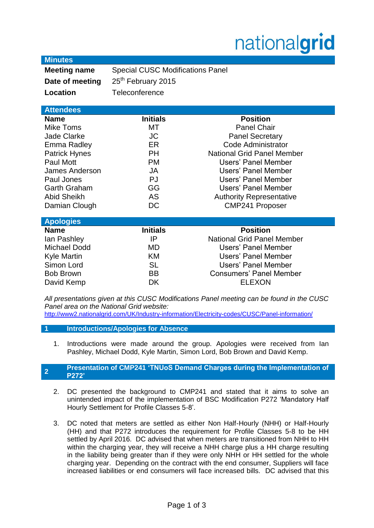# nationalgrid

|  | <b>Minutes</b> |
|--|----------------|
|  |                |
|  |                |

**Meeting name** Special CUSC Modifications Panel **Date of meeting** 25<sup>th</sup> February 2015 **Location** Teleconference

## **Attendees**

| <b>Name</b>          | <b>Initials</b> | <b>Position</b>                   |
|----------------------|-----------------|-----------------------------------|
| <b>Mike Toms</b>     | MТ              | <b>Panel Chair</b>                |
| <b>Jade Clarke</b>   | <b>JC</b>       | <b>Panel Secretary</b>            |
| Emma Radley          | ER              | Code Administrator                |
| <b>Patrick Hynes</b> | <b>PH</b>       | <b>National Grid Panel Member</b> |
| Paul Mott            | <b>PM</b>       | <b>Users' Panel Member</b>        |
| James Anderson       | JA              | Users' Panel Member               |
| Paul Jones           | <b>PJ</b>       | Users' Panel Member               |
| <b>Garth Graham</b>  | GG              | Users' Panel Member               |
| <b>Abid Sheikh</b>   | <b>AS</b>       | <b>Authority Representative</b>   |
| Damian Clough        | DC              | <b>CMP241 Proposer</b>            |
|                      |                 |                                   |

| <b>Apologies</b>    |                 |                                   |
|---------------------|-----------------|-----------------------------------|
| <b>Name</b>         | <b>Initials</b> | <b>Position</b>                   |
| lan Pashley         | IP              | <b>National Grid Panel Member</b> |
| <b>Michael Dodd</b> | MD              | Users' Panel Member               |
| <b>Kyle Martin</b>  | KM              | Users' Panel Member               |
| Simon Lord          | <b>SL</b>       | Users' Panel Member               |
| <b>Bob Brown</b>    | <b>BB</b>       | <b>Consumers' Panel Member</b>    |
| David Kemp          | DK              | <b>ELEXON</b>                     |

*All presentations given at this CUSC Modifications Panel meeting can be found in the CUSC Panel area on the National Grid website:* 

<http://www2.nationalgrid.com/UK/Industry-information/Electricity-codes/CUSC/Panel-information/>

- **1 Introductions/Apologies for Absence**
	- 1. Introductions were made around the group. Apologies were received from Ian Pashley, Michael Dodd, Kyle Martin, Simon Lord, Bob Brown and David Kemp.

#### **2 Presentation of CMP241 'TNUoS Demand Charges during the Implementation of P272'**

- 2. DC presented the background to CMP241 and stated that it aims to solve an unintended impact of the implementation of BSC Modification P272 'Mandatory Half Hourly Settlement for Profile Classes 5-8'.
- 3. DC noted that meters are settled as either Non Half-Hourly (NHH) or Half-Hourly (HH) and that P272 introduces the requirement for Profile Classes 5-8 to be HH settled by April 2016. DC advised that when meters are transitioned from NHH to HH within the charging year, they will receive a NHH charge plus a HH charge resulting in the liability being greater than if they were only NHH or HH settled for the whole charging year. Depending on the contract with the end consumer, Suppliers will face increased liabilities or end consumers will face increased bills. DC advised that this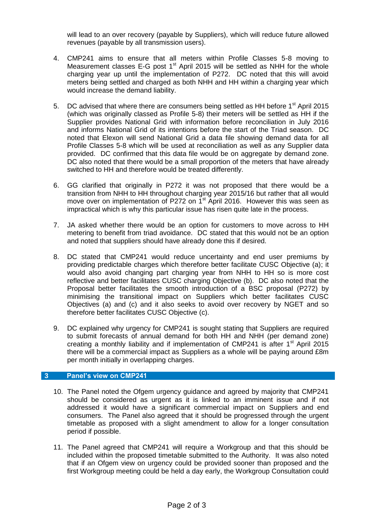will lead to an over recovery (payable by Suppliers), which will reduce future allowed revenues (payable by all transmission users).

- 4. CMP241 aims to ensure that all meters within Profile Classes 5-8 moving to Measurement classes E-G post  $1<sup>st</sup>$  April 2015 will be settled as NHH for the whole charging year up until the implementation of P272. DC noted that this will avoid meters being settled and charged as both NHH and HH within a charging year which would increase the demand liability.
- 5. DC advised that where there are consumers being settled as HH before 1<sup>st</sup> April 2015 (which was originally classed as Profile 5-8) their meters will be settled as HH if the Supplier provides National Grid with information before reconciliation in July 2016 and informs National Grid of its intentions before the start of the Triad season. DC noted that Elexon will send National Grid a data file showing demand data for all Profile Classes 5-8 which will be used at reconciliation as well as any Supplier data provided. DC confirmed that this data file would be on aggregate by demand zone. DC also noted that there would be a small proportion of the meters that have already switched to HH and therefore would be treated differently.
- 6. GG clarified that originally in P272 it was not proposed that there would be a transition from NHH to HH throughout charging year 2015/16 but rather that all would move over on implementation of P272 on 1<sup>st</sup> April 2016. However this was seen as impractical which is why this particular issue has risen quite late in the process.
- 7. JA asked whether there would be an option for customers to move across to HH metering to benefit from triad avoidance. DC stated that this would not be an option and noted that suppliers should have already done this if desired.
- 8. DC stated that CMP241 would reduce uncertainty and end user premiums by providing predictable charges which therefore better facilitate CUSC Objective (a); it would also avoid changing part charging year from NHH to HH so is more cost reflective and better facilitates CUSC charging Objective (b). DC also noted that the Proposal better facilitates the smooth introduction of a BSC proposal (P272) by minimising the transitional impact on Suppliers which better facilitates CUSC Objectives (a) and (c) and it also seeks to avoid over recovery by NGET and so therefore better facilitates CUSC Objective (c).
- 9. DC explained why urgency for CMP241 is sought stating that Suppliers are required to submit forecasts of annual demand for both HH and NHH (per demand zone) creating a monthly liability and if implementation of CMP241 is after  $1<sup>st</sup>$  April 2015 there will be a commercial impact as Suppliers as a whole will be paying around £8m per month initially in overlapping charges.

### **3 Panel's view on CMP241**

- 10. The Panel noted the Ofgem urgency guidance and agreed by majority that CMP241 should be considered as urgent as it is linked to an imminent issue and if not addressed it would have a significant commercial impact on Suppliers and end consumers. The Panel also agreed that it should be progressed through the urgent timetable as proposed with a slight amendment to allow for a longer consultation period if possible.
- 11. The Panel agreed that CMP241 will require a Workgroup and that this should be included within the proposed timetable submitted to the Authority. It was also noted that if an Ofgem view on urgency could be provided sooner than proposed and the first Workgroup meeting could be held a day early, the Workgroup Consultation could